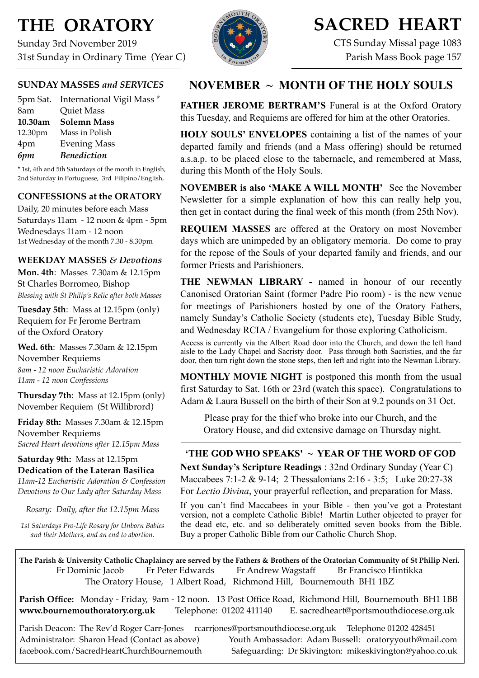## **THE ORATORY**

Sunday 3rd November 2019 31st Sunday in Ordinary Time (Year C)



## **SACRED HEART**

CTS Sunday Missal page 1083 Parish Mass Book page 157

## **SUNDAY MASSES** *and SERVICES*

|         | 5pm Sat. International Vigil Mass * |
|---------|-------------------------------------|
| 8am     | <b>Quiet Mass</b>                   |
| 10.30am | <b>Solemn Mass</b>                  |
| 12.30pm | Mass in Polish                      |
| 4pm     | <b>Evening Mass</b>                 |
| 6pm     | <b>Benediction</b>                  |

\* 1st, 4th and 5th Saturdays of the month in English, 2nd Saturday in Portuguese, 3rd Filipino/English,

## **CONFESSIONS at the ORATORY**

Daily, 20 minutes before each Mass Saturdays 11am - 12 noon & 4pm - 5pm Wednesdays 11am - 12 noon 1st Wednesday of the month 7.30 - 8.30pm

### **WEEKDAY MASSES** *& Devotions*

**Mon. 4th**: Masses 7.30am & 12.15pm St Charles Borromeo, Bishop *Blessing with St Philip's Relic after both Masses*

**Tuesday 5th**: Mass at 12.15pm (only) Requiem for Fr Jerome Bertram of the Oxford Oratory

**Wed. 6th**: Masses 7.30am & 12.15pm November Requiems *8am - 12 noon Eucharistic Adoration 11am - 12 noon Confessions*

**Thursday 7th**: Mass at 12.15pm (only) November Requiem (St Willibrord)

**Friday 8th:** Masses 7.30am & 12.15pm November Requiems *Sacred Heart devotions after 12.15pm Mass*

### **Saturday 9th:** Mass at 12.15pm **Dedication of the Lateran Basilica**

*11am-12 Eucharistic Adoration & Confession Devotions to Our Lady after Saturday Mass*

*Rosary: Daily, after the 12.15pm Mass*

*1st Saturdays Pro-Life Rosary for Unborn Babies and their Mothers, and an end to abortion.* 

## **NOVEMBER ~ MONTH OF THE HOLY SOULS**

**FATHER JEROME BERTRAM'S** Funeral is at the Oxford Oratory this Tuesday, and Requiems are offered for him at the other Oratories.

**HOLY SOULS' ENVELOPES** containing a list of the names of your departed family and friends (and a Mass offering) should be returned a.s.a.p. to be placed close to the tabernacle, and remembered at Mass, during this Month of the Holy Souls.

**NOVEMBER is also 'MAKE A WILL MONTH'** See the November Newsletter for a simple explanation of how this can really help you, then get in contact during the final week of this month (from 25th Nov).

**REQUIEM MASSES** are offered at the Oratory on most November days which are unimpeded by an obligatory memoria. Do come to pray for the repose of the Souls of your departed family and friends, and our former Priests and Parishioners.

**THE NEWMAN LIBRARY - named in honour of our recently** Canonised Oratorian Saint (former Padre Pio room) - is the new venue for meetings of Parishioners hosted by one of the Oratory Fathers, namely Sunday's Catholic Society (students etc), Tuesday Bible Study, and Wednesday RCIA / Evangelium for those exploring Catholicism.

Access is currently via the Albert Road door into the Church, and down the left hand aisle to the Lady Chapel and Sacristy door. Pass through both Sacristies, and the far door, then turn right down the stone steps, then left and right into the Newman Library.

**MONTHLY MOVIE NIGHT** is postponed this month from the usual first Saturday to Sat. 16th or 23rd (watch this space). Congratulations to Adam & Laura Bussell on the birth of their Son at 9.2 pounds on 31 Oct.

Please pray for the thief who broke into our Church, and the Oratory House, and did extensive damage on Thursday night.

## **'THE GOD WHO SPEAKS' ~ YEAR OF THE WORD OF GOD**

**Next Sunday's Scripture Readings** : 32nd Ordinary Sunday (Year C) Maccabees 7:1-2 & 9-14; 2 Thessalonians 2:16 - 3:5; Luke 20:27-38 For *Lectio Divina*, your prayerful reflection, and preparation for Mass.

If you can't find Maccabees in your Bible - then you've got a Protestant version, not a complete Catholic Bible! Martin Luther objected to prayer for the dead etc, etc. and so deliberately omitted seven books from the Bible. Buy a proper Catholic Bible from our Catholic Church Shop.

**The Parish & University Catholic Chaplaincy are served by the Fathers & Brothers of the Oratorian Community of St Philip Neri.** Fr Dominic Jacob Fr Peter Edwards Fr Andrew Wagstaff Br Francisco Hintikka The Oratory House, 1 Albert Road, Richmond Hill, Bournemouth BH1 1BZ

**Parish Office:** Monday - Friday, 9am - 12 noon. 13 Post Office Road, Richmond Hill, Bournemouth BH1 1BB **[www.bournemouthoratory.org.uk](http://www.bournemoithoratory.org.uk)** Telephone: 01202 411140 E. [sacredheart@portsmouthdiocese.org.uk](mailto:sacredheart@portsmouthdiocese.org.uk)

Parish Deacon: The Rev'd Roger Carr-Jones [rcarrjones@portsmouthdiocese.org.uk](mailto:rcarrjones@portsmouthdiocese.org.uk) Telephone 01202 428451 Administrator: Sharon Head (Contact as above) Youth Ambassador: Adam Bussell: [oratoryyouth@mail.com](http://oratoryyouth.mail.com) [facebook.com/SacredHeartChurchBournemouth](http://facebook.com/SaccredHeartChurchBournemouth) Safeguarding: Dr Skivington: mikeskivington@yahoo.co.uk